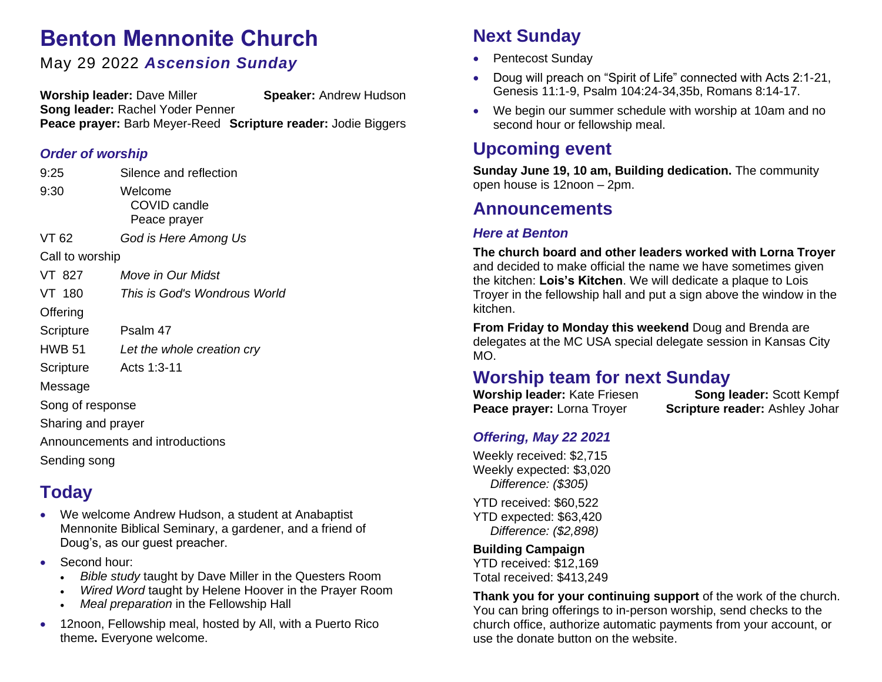# **Benton Mennonite Church**

### May 29 2022 *Ascension Sunday*

**Worship leader:** Dave Miller **Speaker:** Andrew Hudson **Song leader:** Rachel Yoder Penner **Peace prayer:** Barb Meyer-Reed **Scripture reader:** Jodie Biggers

#### *Order of worship*

| 9:25                            | Silence and reflection                  |
|---------------------------------|-----------------------------------------|
| 9:30                            | Welcome<br>COVID candle<br>Peace prayer |
| VT 62                           | God is Here Among Us                    |
| Call to worship                 |                                         |
| VT 827                          | <i>Move in Our Midst</i>                |
| VT 180                          | This is God's Wondrous World            |
| Offering                        |                                         |
| Scripture                       | Psalm 47                                |
| <b>HWB 51</b>                   | Let the whole creation cry              |
| Scripture                       | Acts 1:3-11                             |
| Message                         |                                         |
| Song of response                |                                         |
| Sharing and prayer              |                                         |
| Announcements and introductions |                                         |

Sending song

## **Today**

- We welcome Andrew Hudson, a student at Anabaptist Mennonite Biblical Seminary, a gardener, and a friend of Doug's, as our guest preacher.
- Second hour:
	- *Bible study* taught by Dave Miller in the Questers Room
	- *Wired Word* taught by Helene Hoover in the Prayer Room
	- *Meal preparation* in the Fellowship Hall
- 12noon, Fellowship meal, hosted by All, with a Puerto Rico theme**.** Everyone welcome.

## **Next Sunday**

- Pentecost Sunday
- Doug will preach on "Spirit of Life" connected with Acts 2:1-21, Genesis 11:1-9, Psalm 104:24-34,35b, Romans 8:14-17.
- We begin our summer schedule with worship at 10am and no second hour or fellowship meal.

### **Upcoming event**

**Sunday June 19, 10 am, Building dedication.** The community open house is 12noon – 2pm.

### **Announcements**

#### *Here at Benton*

**The church board and other leaders worked with Lorna Troyer** and decided to make official the name we have sometimes given the kitchen: **Lois's Kitchen**. We will dedicate a plaque to Lois Troyer in the fellowship hall and put a sign above the window in the kitchen.

**From Friday to Monday this weekend** Doug and Brenda are delegates at the MC USA special delegate session in Kansas City MO.

## **Worship team for next Sunday**

**Worship leader:** Kate Friesen **Song leader:** Scott Kempf **Peace prayer:** Lorna Troyer **Scripture reader:** Ashley Johar

### *Offering, May 22 2021*

Weekly received: \$2,715 Weekly expected: \$3,020 *Difference: (\$305)*

YTD received: \$60,522 YTD expected: \$63,420 *Difference: (\$2,898)*

#### **Building Campaign**

YTD received: \$12,169 Total received: \$413,249

**Thank you for your continuing support** of the work of the church. You can bring offerings to in-person worship, send checks to the church office, authorize automatic payments from your account, or use the donate button on the website.